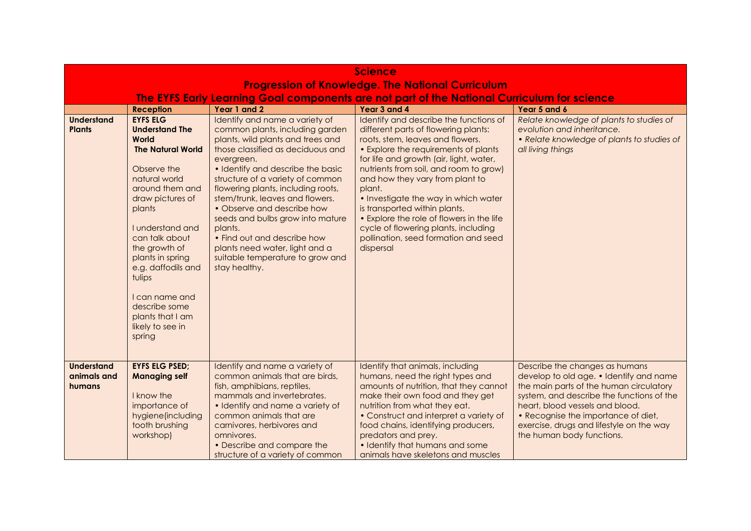| <b>Science</b>                                           |                                                                                                                                                                                                                                                                                                                                                                |                                                                                                                                                                                                                                                                                                                                                                                                                                                                                                                |                                                                                                                                                                                                                                                                                                                                                                                                                                                                                                                 |                                                                                                                                                                                                                                                                                                                      |  |
|----------------------------------------------------------|----------------------------------------------------------------------------------------------------------------------------------------------------------------------------------------------------------------------------------------------------------------------------------------------------------------------------------------------------------------|----------------------------------------------------------------------------------------------------------------------------------------------------------------------------------------------------------------------------------------------------------------------------------------------------------------------------------------------------------------------------------------------------------------------------------------------------------------------------------------------------------------|-----------------------------------------------------------------------------------------------------------------------------------------------------------------------------------------------------------------------------------------------------------------------------------------------------------------------------------------------------------------------------------------------------------------------------------------------------------------------------------------------------------------|----------------------------------------------------------------------------------------------------------------------------------------------------------------------------------------------------------------------------------------------------------------------------------------------------------------------|--|
| <b>Progression of Knowledge. The National Curriculum</b> |                                                                                                                                                                                                                                                                                                                                                                |                                                                                                                                                                                                                                                                                                                                                                                                                                                                                                                |                                                                                                                                                                                                                                                                                                                                                                                                                                                                                                                 |                                                                                                                                                                                                                                                                                                                      |  |
|                                                          |                                                                                                                                                                                                                                                                                                                                                                |                                                                                                                                                                                                                                                                                                                                                                                                                                                                                                                | The EYFS Early Learning Goal components are not part of the National Curriculum for science                                                                                                                                                                                                                                                                                                                                                                                                                     |                                                                                                                                                                                                                                                                                                                      |  |
|                                                          | <b>Reception</b>                                                                                                                                                                                                                                                                                                                                               | Year 1 and 2                                                                                                                                                                                                                                                                                                                                                                                                                                                                                                   | Year 3 and 4                                                                                                                                                                                                                                                                                                                                                                                                                                                                                                    | Year 5 and 6                                                                                                                                                                                                                                                                                                         |  |
| <b>Understand</b><br><b>Plants</b>                       | <b>EYFS ELG</b><br><b>Understand The</b><br>World<br><b>The Natural World</b><br>Observe the<br>natural world<br>around them and<br>draw pictures of<br>plants<br>I understand and<br>can talk about<br>the growth of<br>plants in spring<br>e.g. daffodils and<br>tulips<br>I can name and<br>describe some<br>plants that I am<br>likely to see in<br>spring | Identify and name a variety of<br>common plants, including garden<br>plants, wild plants and trees and<br>those classified as deciduous and<br>evergreen.<br>• Identify and describe the basic<br>structure of a variety of common<br>flowering plants, including roots,<br>stem/trunk, leaves and flowers.<br>• Observe and describe how<br>seeds and bulbs grow into mature<br>plants.<br>• Find out and describe how<br>plants need water, light and a<br>suitable temperature to grow and<br>stay healthy. | Identify and describe the functions of<br>different parts of flowering plants:<br>roots, stem, leaves and flowers.<br>• Explore the requirements of plants<br>for life and growth (air, light, water,<br>nutrients from soil, and room to grow)<br>and how they vary from plant to<br>plant.<br>• Investigate the way in which water<br>is transported within plants.<br>• Explore the role of flowers in the life<br>cycle of flowering plants, including<br>pollination, seed formation and seed<br>dispersal | Relate knowledge of plants to studies of<br>evolution and inheritance.<br>• Relate knowledge of plants to studies of<br>all living things                                                                                                                                                                            |  |
| <b>Understand</b><br>animals and<br>humans               | <b>EYFS ELG PSED;</b><br><b>Managing self</b><br>I know the<br>importance of<br>hygiene(including<br>tooth brushing<br>workshop)                                                                                                                                                                                                                               | Identify and name a variety of<br>common animals that are birds,<br>fish, amphibians, reptiles,<br>mammals and invertebrates.<br>• Identify and name a variety of<br>common animals that are<br>carnivores, herbivores and<br>omnivores.<br>• Describe and compare the<br>structure of a variety of common                                                                                                                                                                                                     | Identify that animals, including<br>humans, need the right types and<br>amounts of nutrition, that they cannot<br>make their own food and they get<br>nutrition from what they eat.<br>• Construct and interpret a variety of<br>food chains, identifying producers,<br>predators and prey.<br>• Identify that humans and some<br>animals have skeletons and muscles                                                                                                                                            | Describe the changes as humans<br>develop to old age. • Identify and name<br>the main parts of the human circulatory<br>system, and describe the functions of the<br>heart, blood vessels and blood.<br>• Recognise the importance of diet,<br>exercise, drugs and lifestyle on the way<br>the human body functions. |  |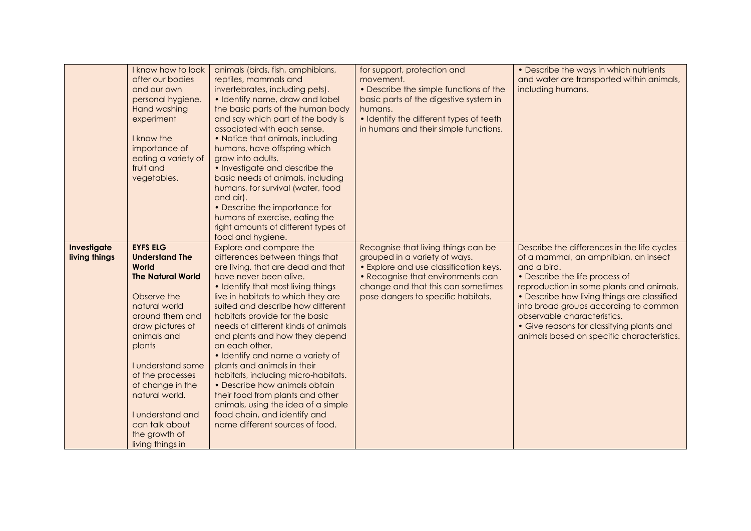|                              | I know how to look<br>after our bodies<br>and our own<br>personal hygiene.<br>Hand washing<br>experiment<br>I know the<br>importance of<br>eating a variety of<br>fruit and<br>vegetables.                                                                                                                                              | animals (birds, fish, amphibians,<br>reptiles, mammals and<br>invertebrates, including pets).<br>• Identify name, draw and label<br>the basic parts of the human body<br>and say which part of the body is<br>associated with each sense.<br>• Notice that animals, including<br>humans, have offspring which<br>grow into adults.<br>• Investigate and describe the<br>basic needs of animals, including<br>humans, for survival (water, food<br>and air).<br>• Describe the importance for<br>humans of exercise, eating the<br>right amounts of different types of<br>food and hygiene.                                                                        | for support, protection and<br>movement.<br>• Describe the simple functions of the<br>basic parts of the digestive system in<br>humans.<br>• Identify the different types of teeth<br>in humans and their simple functions.     | • Describe the ways in which nutrients<br>and water are transported within animals,<br>including humans.                                                                                                                                                                                                                                                                                           |
|------------------------------|-----------------------------------------------------------------------------------------------------------------------------------------------------------------------------------------------------------------------------------------------------------------------------------------------------------------------------------------|-------------------------------------------------------------------------------------------------------------------------------------------------------------------------------------------------------------------------------------------------------------------------------------------------------------------------------------------------------------------------------------------------------------------------------------------------------------------------------------------------------------------------------------------------------------------------------------------------------------------------------------------------------------------|---------------------------------------------------------------------------------------------------------------------------------------------------------------------------------------------------------------------------------|----------------------------------------------------------------------------------------------------------------------------------------------------------------------------------------------------------------------------------------------------------------------------------------------------------------------------------------------------------------------------------------------------|
| Investigate<br>living things | <b>EYFS ELG</b><br><b>Understand The</b><br>World<br><b>The Natural World</b><br>Observe the<br>natural world<br>around them and<br>draw pictures of<br>animals and<br>plants<br>I understand some<br>of the processes<br>of change in the<br>natural world.<br>I understand and<br>can talk about<br>the growth of<br>living things in | Explore and compare the<br>differences between things that<br>are living, that are dead and that<br>have never been alive.<br>• Identify that most living things<br>live in habitats to which they are<br>suited and describe how different<br>habitats provide for the basic<br>needs of different kinds of animals<br>and plants and how they depend<br>on each other.<br>· Identify and name a variety of<br>plants and animals in their<br>habitats, including micro-habitats.<br>• Describe how animals obtain<br>their food from plants and other<br>animals, using the idea of a simple<br>food chain, and identify and<br>name different sources of food. | Recognise that living things can be<br>grouped in a variety of ways.<br>• Explore and use classification keys.<br>• Recognise that environments can<br>change and that this can sometimes<br>pose dangers to specific habitats. | Describe the differences in the life cycles<br>of a mammal, an amphibian, an insect<br>and a bird.<br>• Describe the life process of<br>reproduction in some plants and animals.<br>• Describe how living things are classified<br>into broad groups according to common<br>observable characteristics.<br>• Give reasons for classifying plants and<br>animals based on specific characteristics. |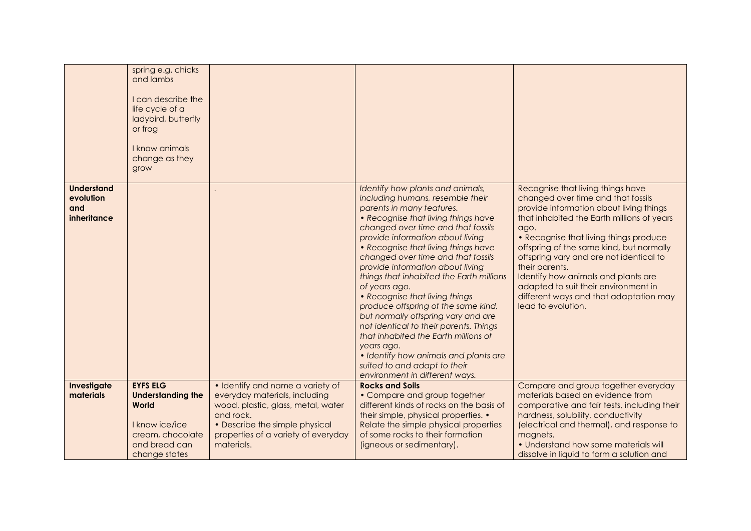|                                                      | spring e.g. chicks<br>and lambs<br>I can describe the<br>life cycle of a<br>ladybird, butterfly<br>or frog<br>I know animals<br>change as they<br>grow |                                                                                                                                                                                                             |                                                                                                                                                                                                                                                                                                                                                                                                                                                                                                                                                                                                                                                                                                                             |                                                                                                                                                                                                                                                                                                                                                                                                                                                                            |
|------------------------------------------------------|--------------------------------------------------------------------------------------------------------------------------------------------------------|-------------------------------------------------------------------------------------------------------------------------------------------------------------------------------------------------------------|-----------------------------------------------------------------------------------------------------------------------------------------------------------------------------------------------------------------------------------------------------------------------------------------------------------------------------------------------------------------------------------------------------------------------------------------------------------------------------------------------------------------------------------------------------------------------------------------------------------------------------------------------------------------------------------------------------------------------------|----------------------------------------------------------------------------------------------------------------------------------------------------------------------------------------------------------------------------------------------------------------------------------------------------------------------------------------------------------------------------------------------------------------------------------------------------------------------------|
| <b>Understand</b><br>evolution<br>and<br>inheritance |                                                                                                                                                        |                                                                                                                                                                                                             | Identify how plants and animals,<br>including humans, resemble their<br>parents in many features.<br>• Recognise that living things have<br>changed over time and that fossils<br>provide information about living<br>• Recognise that living things have<br>changed over time and that fossils<br>provide information about living<br>things that inhabited the Earth millions<br>of years ago.<br>• Recognise that living things<br>produce offspring of the same kind,<br>but normally offspring vary and are<br>not identical to their parents. Things<br>that inhabited the Earth millions of<br>years ago.<br>• Identify how animals and plants are<br>suited to and adapt to their<br>environment in different ways. | Recognise that living things have<br>changed over time and that fossils<br>provide information about living things<br>that inhabited the Earth millions of years<br>ago.<br>• Recognise that living things produce<br>offspring of the same kind, but normally<br>offspring vary and are not identical to<br>their parents.<br>Identify how animals and plants are<br>adapted to suit their environment in<br>different ways and that adaptation may<br>lead to evolution. |
| Investigate<br>materials                             | <b>EYFS ELG</b><br><b>Understanding the</b><br>World<br>I know ice/ice<br>cream, chocolate<br>and bread can<br>change states                           | • Identify and name a variety of<br>everyday materials, including<br>wood, plastic, glass, metal, water<br>and rock.<br>• Describe the simple physical<br>properties of a variety of everyday<br>materials. | <b>Rocks and Soils</b><br>• Compare and group together<br>different kinds of rocks on the basis of<br>their simple, physical properties. •<br>Relate the simple physical properties<br>of some rocks to their formation<br>(igneous or sedimentary).                                                                                                                                                                                                                                                                                                                                                                                                                                                                        | Compare and group together everyday<br>materials based on evidence from<br>comparative and fair tests, including their<br>hardness, solubility, conductivity<br>(electrical and thermal), and response to<br>magnets.<br>• Understand how some materials will<br>dissolve in liquid to form a solution and                                                                                                                                                                 |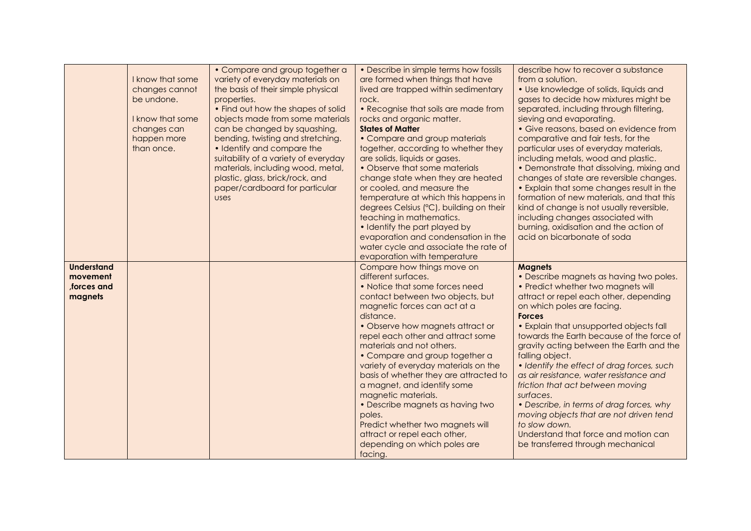|                                                        | I know that some<br>changes cannot<br>be undone.<br>I know that some<br>changes can<br>happen more<br>than once. | • Compare and group together a<br>variety of everyday materials on<br>the basis of their simple physical<br>properties.<br>• Find out how the shapes of solid<br>objects made from some materials<br>can be changed by squashing,<br>bending, twisting and stretching.<br>• Identify and compare the<br>suitability of a variety of everyday<br>materials, including wood, metal,<br>plastic, glass, brick/rock, and<br>paper/cardboard for particular<br><b>USes</b> | • Describe in simple terms how fossils<br>are formed when things that have<br>lived are trapped within sedimentary<br>rock.<br>• Recognise that soils are made from<br>rocks and organic matter.<br><b>States of Matter</b><br>• Compare and group materials<br>together, according to whether they<br>are solids, liquids or gases.<br>• Observe that some materials<br>change state when they are heated<br>or cooled, and measure the<br>temperature at which this happens in<br>degrees Celsius (°C), building on their<br>teaching in mathematics.<br>• Identify the part played by<br>evaporation and condensation in the<br>water cycle and associate the rate of | describe how to recover a substance<br>from a solution.<br>• Use knowledge of solids, liquids and<br>gases to decide how mixtures might be<br>separated, including through filtering,<br>sieving and evaporating.<br>• Give reasons, based on evidence from<br>comparative and fair tests, for the<br>particular uses of everyday materials,<br>including metals, wood and plastic.<br>• Demonstrate that dissolving, mixing and<br>changes of state are reversible changes.<br>• Explain that some changes result in the<br>formation of new materials, and that this<br>kind of change is not usually reversible,<br>including changes associated with<br>burning, oxidisation and the action of<br>acid on bicarbonate of soda |
|--------------------------------------------------------|------------------------------------------------------------------------------------------------------------------|-----------------------------------------------------------------------------------------------------------------------------------------------------------------------------------------------------------------------------------------------------------------------------------------------------------------------------------------------------------------------------------------------------------------------------------------------------------------------|--------------------------------------------------------------------------------------------------------------------------------------------------------------------------------------------------------------------------------------------------------------------------------------------------------------------------------------------------------------------------------------------------------------------------------------------------------------------------------------------------------------------------------------------------------------------------------------------------------------------------------------------------------------------------|-----------------------------------------------------------------------------------------------------------------------------------------------------------------------------------------------------------------------------------------------------------------------------------------------------------------------------------------------------------------------------------------------------------------------------------------------------------------------------------------------------------------------------------------------------------------------------------------------------------------------------------------------------------------------------------------------------------------------------------|
|                                                        |                                                                                                                  |                                                                                                                                                                                                                                                                                                                                                                                                                                                                       | evaporation with temperature                                                                                                                                                                                                                                                                                                                                                                                                                                                                                                                                                                                                                                             |                                                                                                                                                                                                                                                                                                                                                                                                                                                                                                                                                                                                                                                                                                                                   |
| <b>Understand</b><br>movement<br>forces and<br>magnets |                                                                                                                  |                                                                                                                                                                                                                                                                                                                                                                                                                                                                       | Compare how things move on<br>different surfaces.<br>• Notice that some forces need<br>contact between two objects, but<br>magnetic forces can act at a<br>distance.<br>• Observe how magnets attract or<br>repel each other and attract some<br>materials and not others.<br>• Compare and group together a<br>variety of everyday materials on the<br>basis of whether they are attracted to<br>a magnet, and identify some<br>magnetic materials.<br>• Describe magnets as having two<br>poles.<br>Predict whether two magnets will<br>attract or repel each other,<br>depending on which poles are<br>facing.                                                        | <b>Magnets</b><br>• Describe magnets as having two poles.<br>• Predict whether two magnets will<br>attract or repel each other, depending<br>on which poles are facing.<br><b>Forces</b><br>• Explain that unsupported objects fall<br>towards the Earth because of the force of<br>gravity acting between the Earth and the<br>falling object.<br>· Identify the effect of drag forces, such<br>as air resistance, water resistance and<br>friction that act between moving<br>surfaces.<br>• Describe, in terms of drag forces, why<br>moving objects that are not driven tend<br>to slow down.<br>Understand that force and motion can<br>be transferred through mechanical                                                    |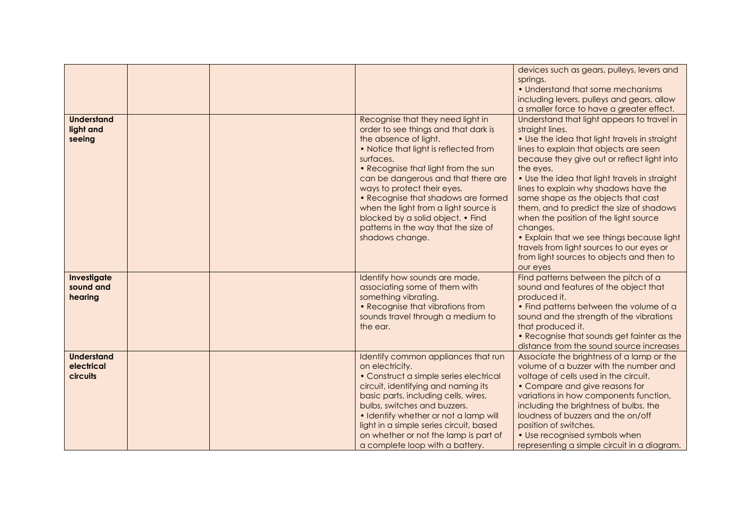| <b>Understand</b><br>light and<br>seeing           |  | Recognise that they need light in<br>order to see things and that dark is<br>the absence of light.<br>. Notice that light is reflected from<br>surfaces.<br>• Recognise that light from the sun<br>can be dangerous and that there are<br>ways to protect their eyes.<br>• Recognise that shadows are formed<br>when the light from a light source is<br>blocked by a solid object. • Find<br>patterns in the way that the size of<br>shadows change. | devices such as gears, pulleys, levers and<br>springs.<br>• Understand that some mechanisms<br>including levers, pulleys and gears, allow<br>a smaller force to have a greater effect.<br>Understand that light appears to travel in<br>straight lines.<br>• Use the idea that light travels in straight<br>lines to explain that objects are seen<br>because they give out or reflect light into<br>the eyes.<br>. Use the idea that light travels in straight<br>lines to explain why shadows have the<br>same shape as the objects that cast<br>them, and to predict the size of shadows<br>when the position of the light source<br>changes.<br>• Explain that we see things because light<br>travels from light sources to our eyes or<br>from light sources to objects and then to |
|----------------------------------------------------|--|-------------------------------------------------------------------------------------------------------------------------------------------------------------------------------------------------------------------------------------------------------------------------------------------------------------------------------------------------------------------------------------------------------------------------------------------------------|------------------------------------------------------------------------------------------------------------------------------------------------------------------------------------------------------------------------------------------------------------------------------------------------------------------------------------------------------------------------------------------------------------------------------------------------------------------------------------------------------------------------------------------------------------------------------------------------------------------------------------------------------------------------------------------------------------------------------------------------------------------------------------------|
| Investigate<br>sound and<br>hearing                |  | Identify how sounds are made,<br>associating some of them with<br>something vibrating.<br>• Recognise that vibrations from<br>sounds travel through a medium to<br>the ear.                                                                                                                                                                                                                                                                           | our eyes<br>Find patterns between the pitch of a<br>sound and features of the object that<br>produced it.<br>• Find patterns between the volume of a<br>sound and the strength of the vibrations<br>that produced it.<br>• Recognise that sounds get fainter as the<br>distance from the sound source increases                                                                                                                                                                                                                                                                                                                                                                                                                                                                          |
| <b>Understand</b><br>electrical<br><b>circuits</b> |  | Identify common appliances that run<br>on electricity.<br>• Construct a simple series electrical<br>circuit, identifying and naming its<br>basic parts, including cells, wires,<br>bulbs, switches and buzzers.<br>• Identify whether or not a lamp will<br>light in a simple series circuit, based<br>on whether or not the lamp is part of<br>a complete loop with a battery.                                                                       | Associate the brightness of a lamp or the<br>volume of a buzzer with the number and<br>voltage of cells used in the circuit.<br>• Compare and give reasons for<br>variations in how components function,<br>including the brightness of bulbs, the<br>loudness of buzzers and the on/off<br>position of switches.<br>• Use recognised symbols when<br>representing a simple circuit in a diagram.                                                                                                                                                                                                                                                                                                                                                                                        |